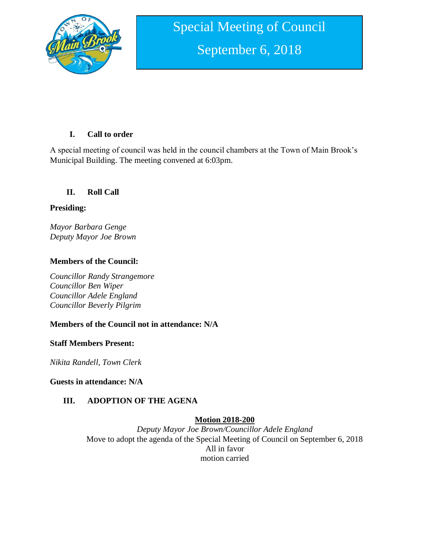

# **I. Call to order**

A special meeting of council was held in the council chambers at the Town of Main Brook's Municipal Building. The meeting convened at 6:03pm.

## **II. Roll Call**

### **Presiding:**

*Mayor Barbara Genge Deputy Mayor Joe Brown*

## **Members of the Council:**

*Councillor Randy Strangemore Councillor Ben Wiper Councillor Adele England Councillor Beverly Pilgrim*

# **Members of the Council not in attendance: N/A**

### **Staff Members Present:**

*Nikita Randell, Town Clerk*

**Guests in attendance: N/A**

# **III. ADOPTION OF THE AGENA**

### **Motion 2018-200**

*Deputy Mayor Joe Brown/Councillor Adele England* Move to adopt the agenda of the Special Meeting of Council on September 6, 2018 All in favor motion carried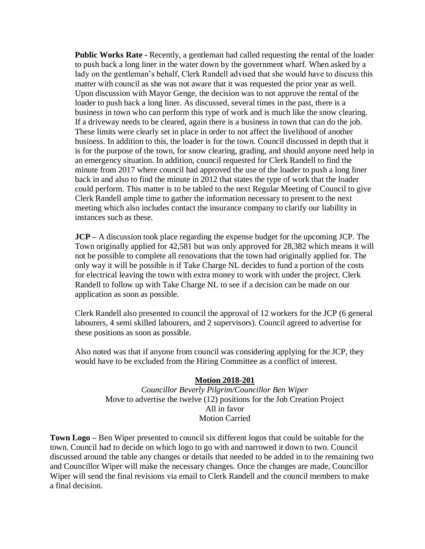**Public Works Rate -** Recently, a gentleman had called requesting the rental of the loader to push back a long liner in the water down by the government wharf. When asked by a lady on the gentleman's behalf, Clerk Randell advised that she would have to discuss this matter with council as she was not aware that it was requested the prior year as well. Upon discussion with Mayor Genge, the decision was to not approve the rental of the loader to push back a long liner. As discussed, several times in the past, there is a business in town who can perform this type of work and is much like the snow clearing. If a driveway needs to be cleared, again there is a business in town that can do the job. These limits were clearly set in place in order to not affect the livelihood of another business. In addition to this, the loader is for the town. Council discussed in depth that it is for the purpose of the town, for snow clearing, grading, and should anyone need help in an emergency situation. In addition, council requested for Clerk Randell to find the minute from 2017 where council had approved the use of the loader to push a long liner back in and also to find the minute in 2012 that states the type of work that the loader could perform. This matter is to be tabled to the next Regular Meeting of Council to give Clerk Randell ample time to gather the information necessary to present to the next meeting which also includes contact the insurance company to clarify our liability in instances such as these.

**JCP –** A discussion took place regarding the expense budget for the upcoming JCP. The Town originally applied for 42,581 but was only approved for 28,382 which means it will not be possible to complete all renovations that the town had originally applied for. The only way it will be possible is if Take Charge NL decides to fund a portion of the costs for electrical leaving the town with extra money to work with under the project. Clerk Randell to follow up with Take Charge NL to see if a decision can be made on our application as soon as possible.

Clerk Randell also presented to council the approval of 12 workers for the JCP (6 general labourers, 4 semi skilled labourers, and 2 supervisors). Council agreed to advertise for these positions as soon as possible.

Also noted was that if anyone from council was considering applying for the JCP, they would have to be excluded from the Hiring Committee as a conflict of interest.

#### **Motion 2018-201**

*Councillor Beverly Pilgrim/Councillor Ben Wiper* Move to advertise the twelve (12) positions for the Job Creation Project All in favor Motion Carried

**Town Logo –** Ben Wiper presented to council six different logos that could be suitable for the town. Council had to decide on which logo to go with and narrowed it down to two. Council discussed around the table any changes or details that needed to be added in to the remaining two and Councillor Wiper will make the necessary changes. Once the changes are made, Councillor Wiper will send the final revisions via email to Clerk Randell and the council members to make a final decision.